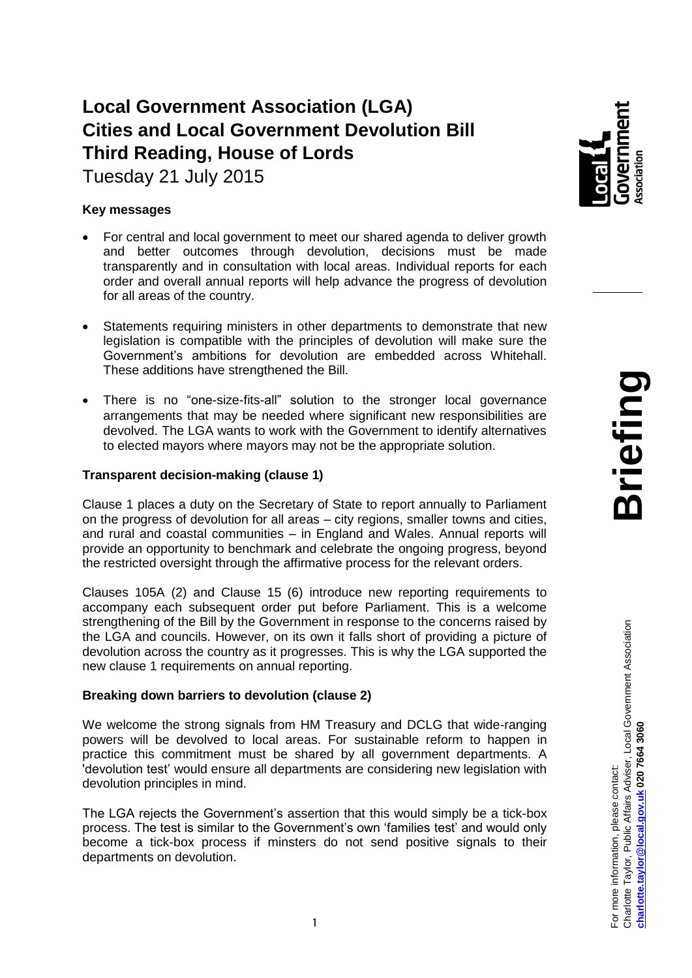# **Local Government Association (LGA) Cities and Local Government Devolution Bill Third Reading, House of Lords**

Tuesday 21 July 2015

## **Key messages**

- For central and local government to meet our shared agenda to deliver growth and better outcomes through devolution, decisions must be made transparently and in consultation with local areas. Individual reports for each order and overall annual reports will help advance the progress of devolution for all areas of the country.
- Statements requiring ministers in other departments to demonstrate that new legislation is compatible with the principles of devolution will make sure the Government's ambitions for devolution are embedded across Whitehall. These additions have strengthened the Bill.
- There is no "one-size-fits-all" solution to the stronger local governance arrangements that may be needed where significant new responsibilities are devolved. The LGA wants to work with the Government to identify alternatives to elected mayors where mayors may not be the appropriate solution.

## **Transparent decision-making (clause 1)**

Clause 1 places a duty on the Secretary of State to report annually to Parliament on the progress of devolution for all areas – city regions, smaller towns and cities, and rural and coastal communities – in England and Wales. Annual reports will provide an opportunity to benchmark and celebrate the ongoing progress, beyond the restricted oversight through the affirmative process for the relevant orders.

Clauses 105A (2) and Clause 15 (6) introduce new reporting requirements to accompany each subsequent order put before Parliament. This is a welcome strengthening of the Bill by the Government in response to the concerns raised by the LGA and councils. However, on its own it falls short of providing a picture of devolution across the country as it progresses. This is why the LGA supported the new clause 1 requirements on annual reporting.

### **Breaking down barriers to devolution (clause 2)**

We welcome the strong signals from HM Treasury and DCLG that wide-ranging powers will be devolved to local areas. For sustainable reform to happen in practice this commitment must be shared by all government departments. A 'devolution test' would ensure all departments are considering new legislation with devolution principles in mind.

The LGA rejects the Government's assertion that this would simply be a tick-box process. The test is similar to the Government's own 'families test' and would only become a tick-box process if minsters do not send positive signals to their departments on devolution.

**Briefing**